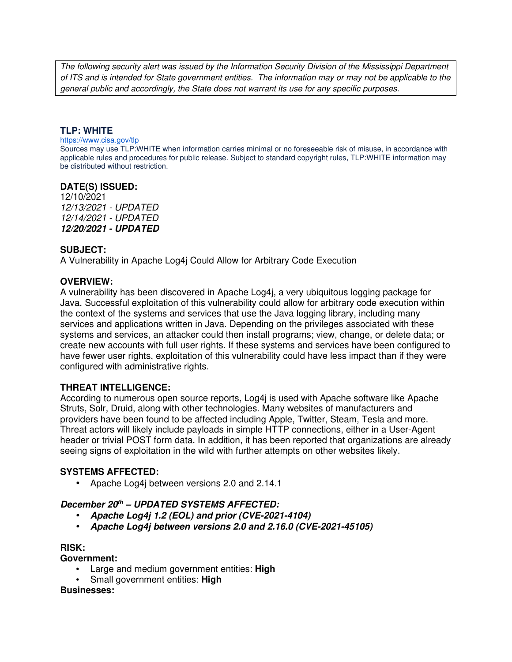The following security alert was issued by the Information Security Division of the Mississippi Department of ITS and is intended for State government entities. The information may or may not be applicable to the general public and accordingly, the State does not warrant its use for any specific purposes.

# **TLP: WHITE**

#### https://www.cisa.gov/tlp

Sources may use TLP:WHITE when information carries minimal or no foreseeable risk of misuse, in accordance with applicable rules and procedures for public release. Subject to standard copyright rules, TLP:WHITE information may be distributed without restriction.

### **DATE(S) ISSUED:**

12/10/2021 12/13/2021 - UPDATED 12/14/2021 - UPDATED *12/20/2021 - UPDATED*

# **SUBJECT:**

A Vulnerability in Apache Log4j Could Allow for Arbitrary Code Execution

# **OVERVIEW:**

A vulnerability has been discovered in Apache Log4j, a very ubiquitous logging package for Java. Successful exploitation of this vulnerability could allow for arbitrary code execution within the context of the systems and services that use the Java logging library, including many services and applications written in Java. Depending on the privileges associated with these systems and services, an attacker could then install programs; view, change, or delete data; or create new accounts with full user rights. If these systems and services have been configured to have fewer user rights, exploitation of this vulnerability could have less impact than if they were configured with administrative rights.

# **THREAT INTELLIGENCE:**

According to numerous open source reports, Log4j is used with Apache software like Apache Struts, Solr, Druid, along with other technologies. Many websites of manufacturers and providers have been found to be affected including Apple, Twitter, Steam, Tesla and more. Threat actors will likely include payloads in simple HTTP connections, either in a User-Agent header or trivial POST form data. In addition, it has been reported that organizations are already seeing signs of exploitation in the wild with further attempts on other websites likely.

### **SYSTEMS AFFECTED:**

• Apache Log4j between versions 2.0 and 2.14.1

# *December 20th – UPDATED SYSTEMS AFFECTED:*

- *Apache Log4j 1.2 (EOL) and prior (CVE-2021-4104)*
- *Apache Log4j between versions 2.0 and 2.16.0 (CVE-2021-45105)*

### **RISK:**

### **Government:**

- Large and medium government entities: **High**
- Small government entities: **High**

### **Businesses:**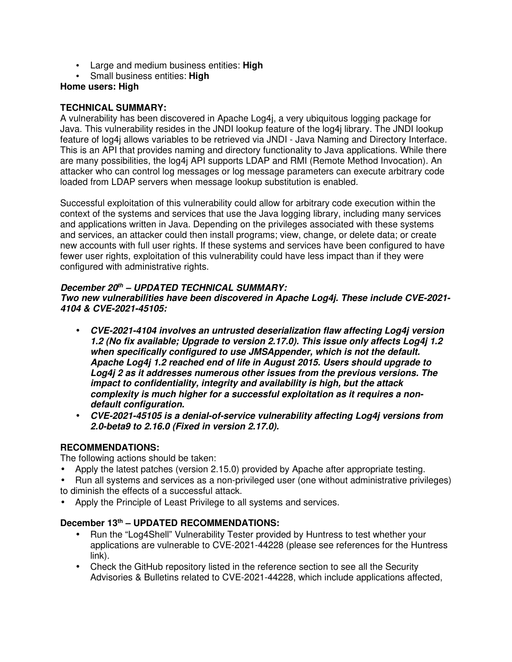- Large and medium business entities: **High**
- Small business entities: **High**

# **Home users: High**

# **TECHNICAL SUMMARY:**

A vulnerability has been discovered in Apache Log4j, a very ubiquitous logging package for Java. This vulnerability resides in the JNDI lookup feature of the log4j library. The JNDI lookup feature of log4j allows variables to be retrieved via JNDI - Java Naming and Directory Interface. This is an API that provides naming and directory functionality to Java applications. While there are many possibilities, the log4j API supports LDAP and RMI (Remote Method Invocation). An attacker who can control log messages or log message parameters can execute arbitrary code loaded from LDAP servers when message lookup substitution is enabled.

Successful exploitation of this vulnerability could allow for arbitrary code execution within the context of the systems and services that use the Java logging library, including many services and applications written in Java. Depending on the privileges associated with these systems and services, an attacker could then install programs; view, change, or delete data; or create new accounts with full user rights. If these systems and services have been configured to have fewer user rights, exploitation of this vulnerability could have less impact than if they were configured with administrative rights.

# *December 20th – UPDATED TECHNICAL SUMMARY:*

*Two new vulnerabilities have been discovered in Apache Log4j. These include CVE-2021- 4104 & CVE-2021-45105:*

- *CVE-2021-4104 involves an untrusted deserialization flaw affecting Log4j version 1.2 (No fix available; Upgrade to version 2.17.0). This issue only affects Log4j 1.2 when specifically configured to use JMSAppender, which is not the default. Apache Log4j 1.2 reached end of life in August 2015. Users should upgrade to Log4j 2 as it addresses numerous other issues from the previous versions. The impact to confidentiality, integrity and availability is high, but the attack complexity is much higher for a successful exploitation as it requires a nondefault configuration.*
- *CVE-2021-45105 is a denial-of-service vulnerability affecting Log4j versions from 2.0-beta9 to 2.16.0 (Fixed in version 2.17.0).*

# **RECOMMENDATIONS:**

The following actions should be taken:

- Apply the latest patches (version 2.15.0) provided by Apache after appropriate testing.
- Run all systems and services as a non-privileged user (one without administrative privileges) to diminish the effects of a successful attack.
- Apply the Principle of Least Privilege to all systems and services.

# **December 13th – UPDATED RECOMMENDATIONS:**

- Run the "Log4Shell" Vulnerability Tester provided by Huntress to test whether your applications are vulnerable to CVE-2021-44228 (please see references for the Huntress link).
- Check the GitHub repository listed in the reference section to see all the Security Advisories & Bulletins related to CVE-2021-44228, which include applications affected,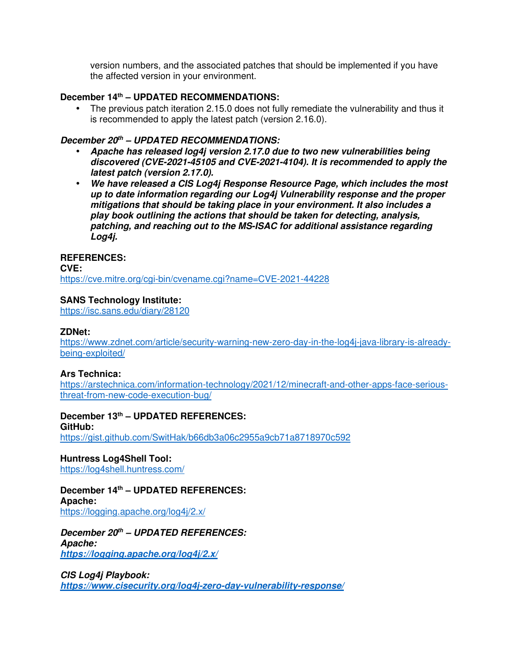version numbers, and the associated patches that should be implemented if you have the affected version in your environment.

# **December 14th – UPDATED RECOMMENDATIONS:**

• The previous patch iteration 2.15.0 does not fully remediate the vulnerability and thus it is recommended to apply the latest patch (version 2.16.0).

# *December 20th – UPDATED RECOMMENDATIONS:*

- *Apache has released log4j version 2.17.0 due to two new vulnerabilities being discovered (CVE-2021-45105 and CVE-2021-4104). It is recommended to apply the latest patch (version 2.17.0).*
- *We have released a CIS Log4j Response Resource Page, which includes the most up to date information regarding our Log4j Vulnerability response and the proper mitigations that should be taking place in your environment. It also includes a play book outlining the actions that should be taken for detecting, analysis, patching, and reaching out to the MS-ISAC for additional assistance regarding Log4j.*

# **REFERENCES:**

**CVE:** https://cve.mitre.org/cgi-bin/cvename.cgi?name=CVE-2021-44228

# **SANS Technology Institute:**

https://isc.sans.edu/diary/28120

### **ZDNet:**

https://www.zdnet.com/article/security-warning-new-zero-day-in-the-log4j-java-library-is-alreadybeing-exploited/

### **Ars Technica:**

https://arstechnica.com/information-technology/2021/12/minecraft-and-other-apps-face-seriousthreat-from-new-code-execution-bug/

**December 13th – UPDATED REFERENCES: GitHub:** https://gist.github.com/SwitHak/b66db3a06c2955a9cb71a8718970c592

**Huntress Log4Shell Tool:** https://log4shell.huntress.com/

**December 14th – UPDATED REFERENCES: Apache:** https://logging.apache.org/log4j/2.x/

*December 20th – UPDATED REFERENCES: Apache: https://logging.apache.org/log4j/2.x/*

*CIS Log4j Playbook: https://www.cisecurity.org/log4j-zero-day-vulnerability-response/*